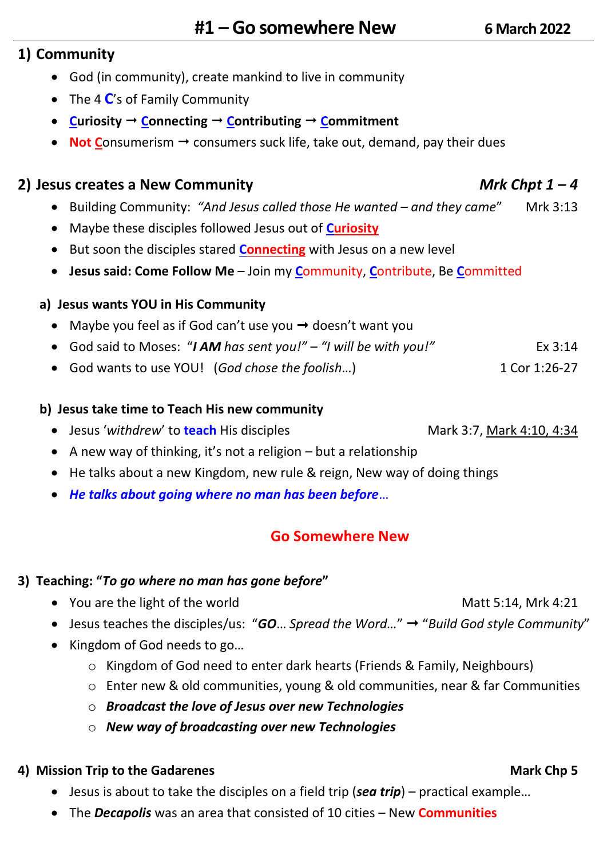## **1) Community**

- God (in community), create mankind to live in community
- The 4 **C**'s of Family Community
- **Curiosity**  $\rightarrow$  **Connecting**  $\rightarrow$  **Contributing**  $\rightarrow$  **Commitment**
- **Not Consumerism**  $\rightarrow$  **consumers suck life, take out, demand, pay their dues**

## **2) Jesus creates a New Community** *Mrk Chpt 1 – 4*

- Building Community: *"And Jesus called those He wanted – and they came*" Mrk 3:13
- Maybe these disciples followed Jesus out of **Curiosity**
- But soon the disciples stared **Connecting** with Jesus on a new level
- **Jesus said: Come Follow Me** Join my **C**ommunity, **C**ontribute, Be **C**ommitted

## **a) Jesus wants YOU in His Community**

- Maybe you feel as if God can't use you  $\rightarrow$  doesn't want you
- God said to Moses: "*I AM has sent you!" – "I will be with you!"* Ex 3:14
- God wants to use YOU! (God chose the foolish...) 1 Cor 1:26-27

### **b) Jesus take time to Teach His new community**

- Jesus 'withdrew' to **teach** His disciples Mark 3:7, Mark 4:10, 4:34
- A new way of thinking, it's not a religion but a relationship
- He talks about a new Kingdom, new rule & reign, New way of doing things
- *He talks about going where no man has been before*…

## **Go Somewhere New**

### **3) Teaching: "***To go where no man has gone before***"**

- You are the light of the world Matt 5:14, Mrk 4:21
	- Jesus teaches the disciples/us: "*GO*… *Spread the Word…*" "*Build God style Community*"
	- Kingdom of God needs to go…
		- o Kingdom of God need to enter dark hearts (Friends & Family, Neighbours)
		- o Enter new & old communities, young & old communities, near & far Communities
		- o *Broadcast the love of Jesus over new Technologies*
		- o *New way of broadcasting over new Technologies*

### **4)** Mission Trip to the Gadarenes **Mark Chp 5** Mark Chp 5

- Jesus is about to take the disciples on a field trip (*sea trip*) practical example…
- The *Decapolis* was an area that consisted of 10 cities New **Communities**